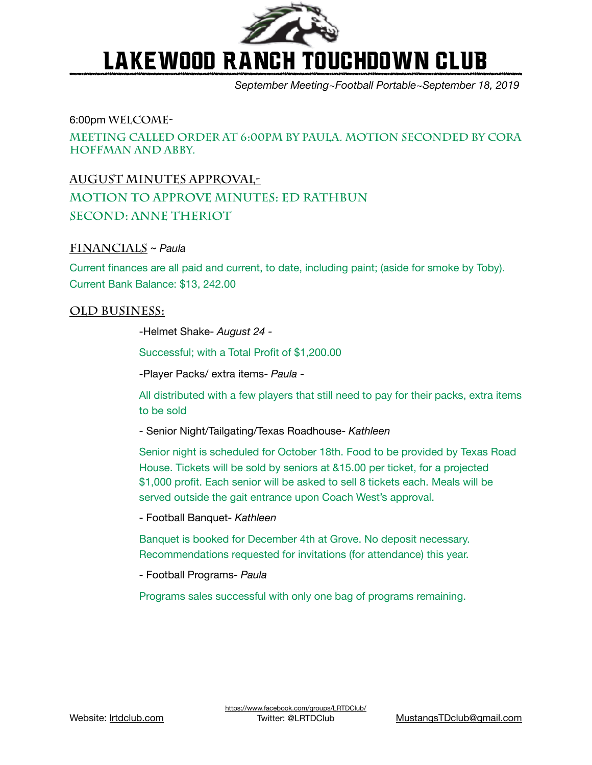

# Lakewood Ranch Touchdown Club

*September Meeting~Football Portable~September 18, 2019*

### 6:00pm **Welcome-**

**Meeting called order at 6:00pm by Paula. Motion Seconded by Cora Hoffman and Abby.** 

## **August Minutes APPROVAL-**

**Motion to approve minutes: Ed Rathbun Second: Anne Theriot** 

## **Financials** ~ *Paula*

Current finances are all paid and current, to date, including paint; (aside for smoke by Toby). Current Bank Balance: \$13, 242.00

## **Old Business:**

 -Helmet Shake- *August 24 -* 

 Successful; with a Total Profit of \$1,200.00

 -Player Packs/ extra items- *Paula -* 

 All distributed with a few players that still need to pay for their packs, extra items to be sold

 - Senior Night/Tailgating/Texas Roadhouse- *Kathleen* 

 Senior night is scheduled for October 18th. Food to be provided by Texas Road House. Tickets will be sold by seniors at &15.00 per ticket, for a projected \$1,000 profit. Each senior will be asked to sell 8 tickets each. Meals will be served outside the gait entrance upon Coach West's approval.

 - Football Banquet- *Kathleen* 

Banquet is booked for December 4th at Grove. No deposit necessary. Recommendations requested for invitations (for attendance) this year.

 - Football Programs- *Paula* 

Programs sales successful with only one bag of programs remaining.